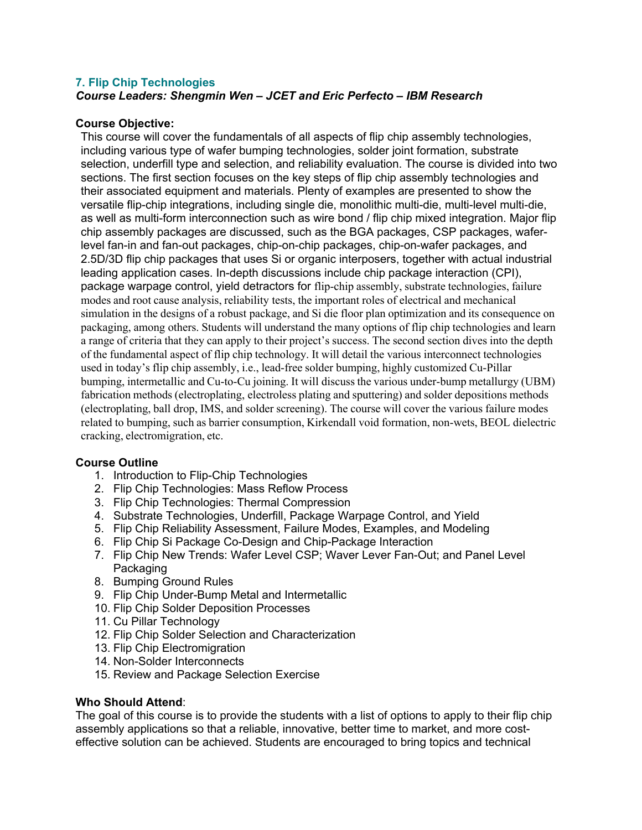## **7. Flip Chip Technologies**

*Course Leaders: Shengmin Wen – JCET and Eric Perfecto – IBM Research*

## **Course Objective:**

This course will cover the fundamentals of all aspects of flip chip assembly technologies, including various type of wafer bumping technologies, solder joint formation, substrate selection, underfill type and selection, and reliability evaluation. The course is divided into two sections. The first section focuses on the key steps of flip chip assembly technologies and their associated equipment and materials. Plenty of examples are presented to show the versatile flip-chip integrations, including single die, monolithic multi-die, multi-level multi-die, as well as multi-form interconnection such as wire bond / flip chip mixed integration. Major flip chip assembly packages are discussed, such as the BGA packages, CSP packages, waferlevel fan-in and fan-out packages, chip-on-chip packages, chip-on-wafer packages, and 2.5D/3D flip chip packages that uses Si or organic interposers, together with actual industrial leading application cases. In-depth discussions include chip package interaction (CPI), package warpage control, yield detractors for flip-chip assembly, substrate technologies, failure modes and root cause analysis, reliability tests, the important roles of electrical and mechanical simulation in the designs of a robust package, and Si die floor plan optimization and its consequence on packaging, among others. Students will understand the many options of flip chip technologies and learn a range of criteria that they can apply to their project's success. The second section dives into the depth of the fundamental aspect of flip chip technology. It will detail the various interconnect technologies used in today's flip chip assembly, i.e., lead-free solder bumping, highly customized Cu-Pillar bumping, intermetallic and Cu-to-Cu joining. It will discuss the various under-bump metallurgy (UBM) fabrication methods (electroplating, electroless plating and sputtering) and solder depositions methods (electroplating, ball drop, IMS, and solder screening). The course will cover the various failure modes related to bumping, such as barrier consumption, Kirkendall void formation, non-wets, BEOL dielectric cracking, electromigration, etc.

## **Course Outline**

- 1. Introduction to Flip-Chip Technologies
- 2. Flip Chip Technologies: Mass Reflow Process
- 3. Flip Chip Technologies: Thermal Compression
- 4. Substrate Technologies, Underfill, Package Warpage Control, and Yield
- 5. Flip Chip Reliability Assessment, Failure Modes, Examples, and Modeling
- 6. Flip Chip Si Package Co-Design and Chip-Package Interaction
- 7. Flip Chip New Trends: Wafer Level CSP; Waver Lever Fan-Out; and Panel Level **Packaging**
- 8. Bumping Ground Rules
- 9. Flip Chip Under-Bump Metal and Intermetallic
- 10. Flip Chip Solder Deposition Processes
- 11. Cu Pillar Technology
- 12. Flip Chip Solder Selection and Characterization
- 13. Flip Chip Electromigration
- 14. Non-Solder Interconnects
- 15. Review and Package Selection Exercise

## **Who Should Attend**:

The goal of this course is to provide the students with a list of options to apply to their flip chip assembly applications so that a reliable, innovative, better time to market, and more costeffective solution can be achieved. Students are encouraged to bring topics and technical